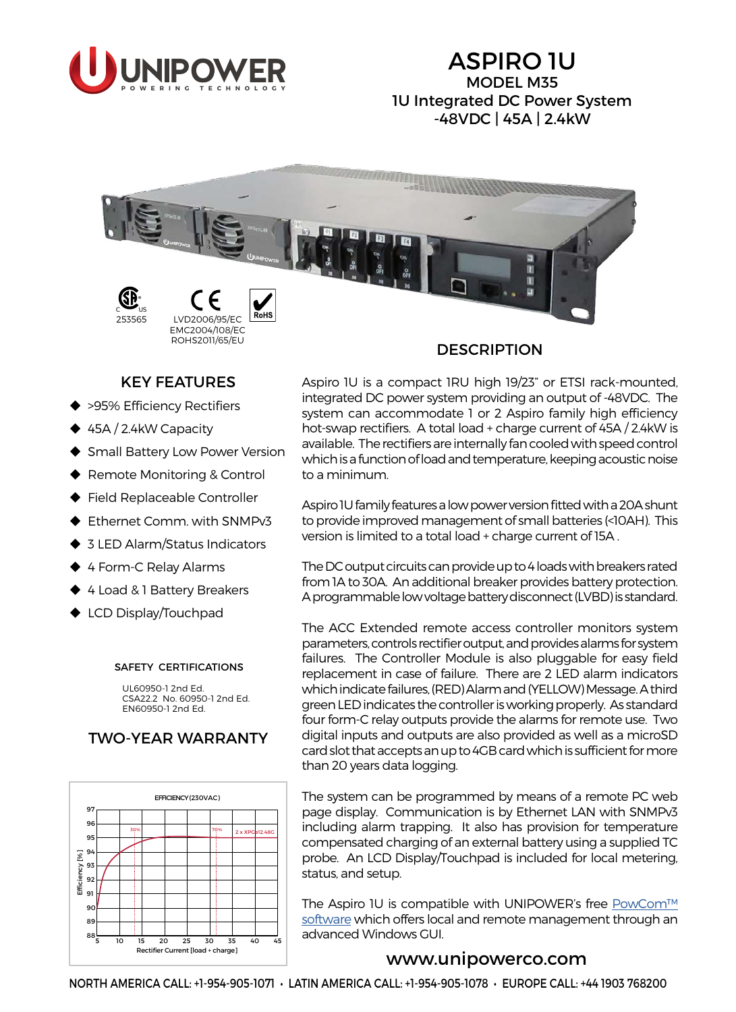

# ASPIRO 1U MODEL M35 1U Integrated DC Power System -48VDC | 45A | 2.4kW



#### **DESCRIPTION**

## KEY FEATURES

- ◆ >95% Efficiency Rectifiers
- ◆ 45A / 2.4kW Capacity
- ◆ Small Battery Low Power Version
- Remote Monitoring & Control
- ◆ Field Replaceable Controller
- ◆ Ethernet Comm. with SNMPv3
- ◆ 3 LED Alarm/Status Indicators
- ◆ 4 Form-C Relay Alarms
- ◆ 4 Load & 1 Battery Breakers
- ◆ LCD Display/Touchpad

#### SAFETY CERTIFICATIONS

UL60950-1 2nd Ed. CSA22.2 No. 60950-1 2nd Ed. EN60950-1 2nd Ed.

## TWO-YEAR WARRANTY



Aspiro 1U is a compact 1RU high 19/23" or ETSI rack-mounted, integrated DC power system providing an output of -48VDC. The system can accommodate 1 or 2 Aspiro family high efficiency hot-swap rectifiers. A total load + charge current of 45A / 2.4kW is available. The rectifiers are internally fan cooled with speed control which is a function of load and temperature, keeping acoustic noise to a minimum.

Aspiro 1U family features a low power version fitted with a 20A shunt to provide improved management of small batteries (<10AH). This version is limited to a total load + charge current of 15A .

The DC output circuits can provide up to 4 loads with breakers rated from 1A to 30A. An additional breaker provides battery protection. A programmable low voltage battery disconnect (LVBD) is standard.

The ACC Extended remote access controller monitors system parameters, controls rectifier output, and provides alarms for system failures. The Controller Module is also pluggable for easy field replacement in case of failure. There are 2 LED alarm indicators which indicate failures, (RED) Alarm and (YELLOW) Message. A third green LED indicates the controller is working properly. As standard four form-C relay outputs provide the alarms for remote use. Two digital inputs and outputs are also provided as well as a microSD card slot that accepts an up to 4GB card which is sufficient for more than 20 years data logging.

The system can be programmed by means of a remote PC web page display. Communication is by Ethernet LAN with SNMPv3 including alarm trapping. It also has provision for temperature compensated charging of an external battery using a supplied TC probe. An LCD Display/Touchpad is included for local metering, status, and setup.

The Aspiro 1U is compatible with UNIPOWER's free [PowCom™](http://www.unipowerco.com/pdf/powcom-ds.pdf)  [software](http://www.unipowerco.com/pdf/powcom-ds.pdf) which offers local and remote management through an advanced Windows GUI.

## [www.unipowerco.com](http://www.unipowerco.com)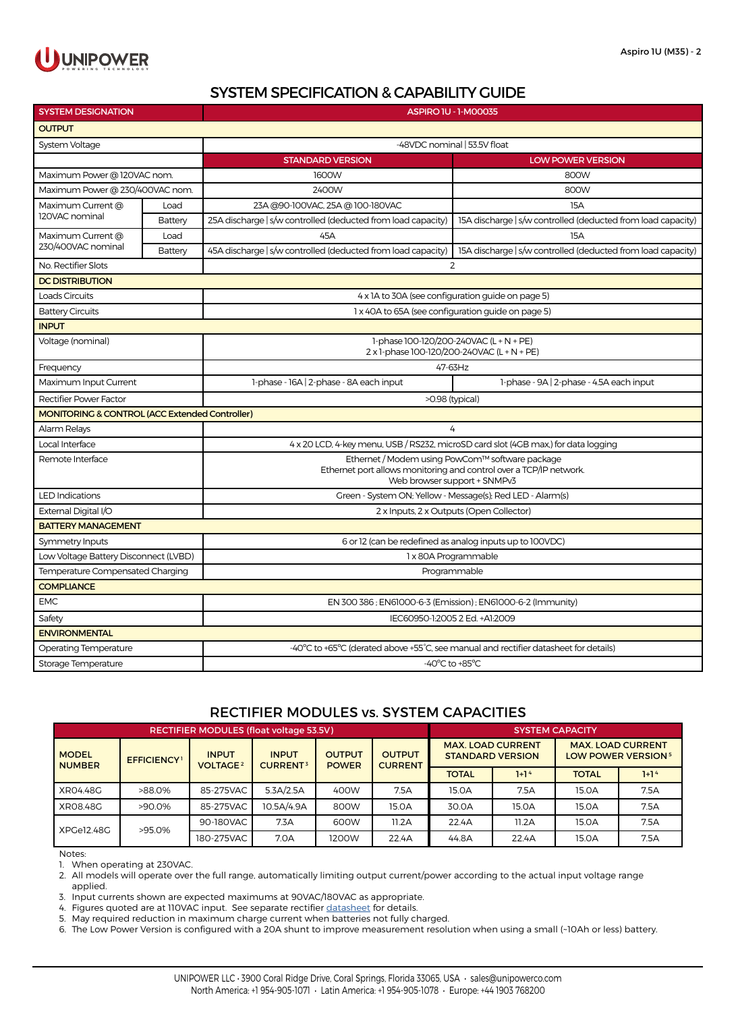

## SYSTEM SPECIFICATION & CAPABILITY GUIDE

| <b>SYSTEM DESIGNATION</b>                      |         | ASPIRO 1U - 1-M00035                                                                                                                                  |                                                              |  |  |  |  |  |
|------------------------------------------------|---------|-------------------------------------------------------------------------------------------------------------------------------------------------------|--------------------------------------------------------------|--|--|--|--|--|
| <b>OUTPUT</b>                                  |         |                                                                                                                                                       |                                                              |  |  |  |  |  |
| System Voltage                                 |         | -48VDC nominal   53.5V float                                                                                                                          |                                                              |  |  |  |  |  |
|                                                |         | <b>STANDARD VERSION</b>                                                                                                                               | <b>LOW POWER VERSION</b>                                     |  |  |  |  |  |
| Maximum Power @ 120VAC nom.                    |         | 1600W                                                                                                                                                 | 800W                                                         |  |  |  |  |  |
| Maximum Power @ 230/400VAC nom.                |         | 2400W                                                                                                                                                 | 800W                                                         |  |  |  |  |  |
| Maximum Current @<br>120VAC nominal            | Load    | 23A @90-100VAC, 25A @ 100-180VAC                                                                                                                      | 15A                                                          |  |  |  |  |  |
|                                                | Battery | 25A discharge   s/w controlled (deducted from load capacity)                                                                                          | 15A discharge   s/w controlled (deducted from load capacity) |  |  |  |  |  |
| Maximum Current @                              | Load    | 45A                                                                                                                                                   | <b>15A</b>                                                   |  |  |  |  |  |
| 230/400VAC nominal                             | Battery | 45A discharge   s/w controlled (deducted from load capacity)                                                                                          | 15A discharge   s/w controlled (deducted from load capacity) |  |  |  |  |  |
| No. Rectifier Slots                            |         | 2                                                                                                                                                     |                                                              |  |  |  |  |  |
| <b>DC DISTRIBUTION</b>                         |         |                                                                                                                                                       |                                                              |  |  |  |  |  |
| Loads Circuits                                 |         | 4 x 1A to 30A (see configuration guide on page 5)                                                                                                     |                                                              |  |  |  |  |  |
| <b>Battery Circuits</b>                        |         | 1 x 40A to 65A (see configuration guide on page 5)                                                                                                    |                                                              |  |  |  |  |  |
| <b>INPUT</b>                                   |         |                                                                                                                                                       |                                                              |  |  |  |  |  |
| Voltage (nominal)                              |         | 1-phase 100-120/200-240VAC (L + N + PE)<br>2 x 1-phase 100-120/200-240VAC (L + N + PE)                                                                |                                                              |  |  |  |  |  |
| Frequency                                      |         | 47-63Hz                                                                                                                                               |                                                              |  |  |  |  |  |
| Maximum Input Current                          |         | 1-phase - 16A   2-phase - 8A each input                                                                                                               | 1-phase - 9A   2-phase - 4.5A each input                     |  |  |  |  |  |
| Rectifier Power Factor                         |         | >0.98 (typical)                                                                                                                                       |                                                              |  |  |  |  |  |
| MONITORING & CONTROL (ACC Extended Controller) |         |                                                                                                                                                       |                                                              |  |  |  |  |  |
| Alarm Relays                                   |         | 4                                                                                                                                                     |                                                              |  |  |  |  |  |
| Local Interface                                |         | 4 x 20 LCD, 4-key menu, USB / RS232, microSD card slot (4GB max,) for data logging                                                                    |                                                              |  |  |  |  |  |
| Remote Interface                               |         | Ethernet / Modem using PowCom™ software package<br>Ethernet port allows monitoring and control over a TCP/IP network.<br>Web browser support + SNMPv3 |                                                              |  |  |  |  |  |
| <b>LED Indications</b>                         |         | Green - System ON; Yellow - Message(s); Red LED - Alarm(s)                                                                                            |                                                              |  |  |  |  |  |
| External Digital I/O                           |         | 2 x Inputs, 2 x Outputs (Open Collector)                                                                                                              |                                                              |  |  |  |  |  |
| <b>BATTERY MANAGEMENT</b>                      |         |                                                                                                                                                       |                                                              |  |  |  |  |  |
| Symmetry Inputs                                |         | 6 or 12 (can be redefined as analog inputs up to 100VDC)                                                                                              |                                                              |  |  |  |  |  |
| Low Voltage Battery Disconnect (LVBD)          |         | 1 x 80A Programmable                                                                                                                                  |                                                              |  |  |  |  |  |
| Temperature Compensated Charging               |         | Programmable                                                                                                                                          |                                                              |  |  |  |  |  |
| <b>COMPLIANCE</b>                              |         |                                                                                                                                                       |                                                              |  |  |  |  |  |
| <b>EMC</b>                                     |         | EN 300 386; EN61000-6-3 (Emission); EN61000-6-2 (Immunity)                                                                                            |                                                              |  |  |  |  |  |
| Safety                                         |         | IEC60950-1:2005 2 Ed. +A1:2009                                                                                                                        |                                                              |  |  |  |  |  |
| <b>ENVIRONMENTAL</b>                           |         |                                                                                                                                                       |                                                              |  |  |  |  |  |
| Operating Temperature                          |         | -40°C to +65°C (derated above +55°C, see manual and rectifier datasheet for details)                                                                  |                                                              |  |  |  |  |  |
| Storage Temperature                            |         | -40°C to +85°C                                                                                                                                        |                                                              |  |  |  |  |  |

#### RECTIFIER MODULES vs. SYSTEM CAPACITIES

| RECTIFIER MODULES (float voltage 53.5V) |                    |                                            |                                            |                               |                                 |                                                     | <b>SYSTEM CAPACITY</b> |                                                                  |        |  |  |
|-----------------------------------------|--------------------|--------------------------------------------|--------------------------------------------|-------------------------------|---------------------------------|-----------------------------------------------------|------------------------|------------------------------------------------------------------|--------|--|--|
| <b>MODEL</b><br><b>NUMBER</b>           | <b>EFFICIENCY1</b> | <b>INPUT</b><br><b>VOLTAGE<sup>2</sup></b> | <b>INPUT</b><br><b>CURRENT<sup>3</sup></b> | <b>OUTPUT</b><br><b>POWER</b> | <b>OUTPUT</b><br><b>CURRENT</b> | <b>MAX. LOAD CURRENT</b><br><b>STANDARD VERSION</b> |                        | <b>MAX. LOAD CURRENT</b><br><b>LOW POWER VERSION<sup>5</sup></b> |        |  |  |
|                                         |                    |                                            |                                            |                               |                                 | <b>TOTAL</b>                                        | $1+14$                 | <b>TOTAL</b>                                                     | $1+14$ |  |  |
| XR04.48G                                | >88.0%             | 85-275VAC                                  | 5.3A/2.5A                                  | 400W                          | 7.5A                            | 15.0A                                               | 7.5A                   | 15.0A                                                            | 7.5A   |  |  |
| XR08.48G                                | >90.0%             | 85-275VAC                                  | 10.5A/4.9A                                 | 800W                          | 15.0A                           | 30.0A                                               | 15.0A                  | 15.0A                                                            | 7.5A   |  |  |
| XPGe12.48G                              | >95.0%             | 90-180VAC                                  | 7.3A                                       | 600W                          | 11.2A                           | 22.4A                                               | 11.2A                  | 15.0A                                                            | 7.5A   |  |  |
|                                         |                    | 180-275VAC                                 | 7.0A                                       | 1200W                         | 22.4A                           | 44.8A                                               | 22.4A                  | 15.0A                                                            | 7.5A   |  |  |

Notes:

1. When operating at 230VAC.

2. All models will operate over the full range, automatically limiting output current/power according to the actual input voltage range applied.

3. Input currents shown are expected maximums at 90VAC/180VAC as appropriate.

4. Figures quoted are at 110VAC input. See separate rectifier [datasheet](http://www.unipowerco.com/pdf/xpge12-ds.pdf) for details.

5. May required reduction in maximum charge current when batteries not fully charged.

6. The Low Power Version is configured with a 20A shunt to improve measurement resolution when using a small (~10Ah or less) battery.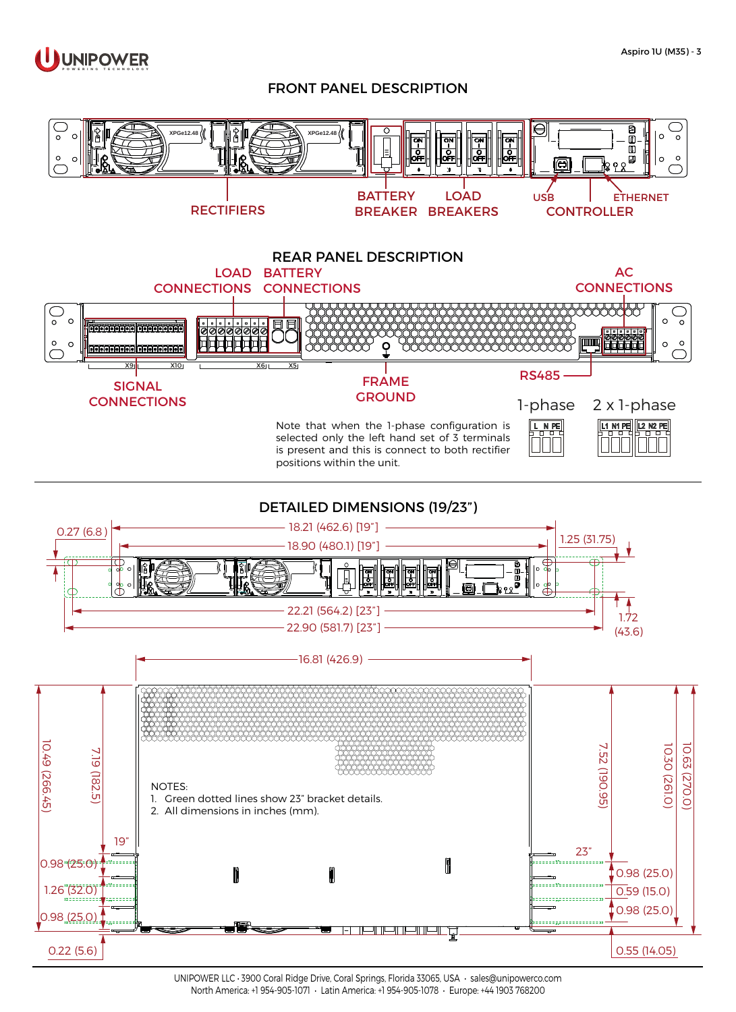

#### FRONT PANEL DESCRIPTION



UNIPOWER LLC • 3900 Coral Ridge Drive, Coral Springs, Florida 33065, USA • [sales@unipowerco.com](mailto:sales%40unipowerco.com?subject=Aspiro%201U) North America: +1 954-905-1071 • Latin America: +1 954-905-1078 • Europe: +44 1903 768200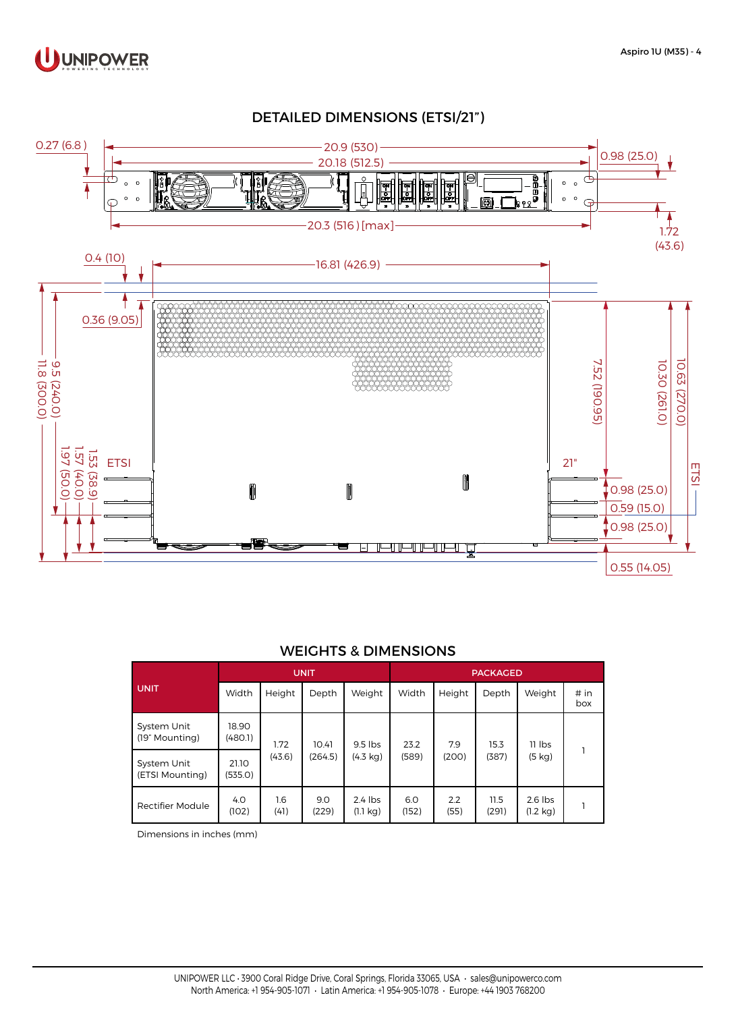

### DETAILED DIMENSIONS (ETSI/21")



#### WEIGHTS & DIMENSIONS

|                                | <b>UNIT</b>      |                |                  |                                 | <b>PACKAGED</b> |              |               |                                 |             |
|--------------------------------|------------------|----------------|------------------|---------------------------------|-----------------|--------------|---------------|---------------------------------|-------------|
| <b>UNIT</b>                    | Width            | Height         | Depth            | Weight                          | Width           | Height       | Depth         | Weight                          | # in<br>box |
| System Unit<br>(19" Mounting)  | 18.90<br>(480.1) | 1.72<br>(43.6) | 10.41<br>(264.5) | $9.5$ lbs<br>(4.3 kg)           | 23.2<br>(589)   | 7.9<br>(200) | 15.3<br>(387) | $11$ lbs<br>(5 kg)              |             |
| System Unit<br>(ETSI Mounting) | 21.10<br>(535.0) |                |                  |                                 |                 |              |               |                                 |             |
| Rectifier Module               | 4.0<br>(102)     | 1.6<br>(41)    | 9.0<br>(229)     | $2.4$ lbs<br>$(1.1 \text{ kg})$ | 6.0<br>(152)    | 2.2<br>(55)  | 11.5<br>(291) | $2.6$ lbs<br>$(1.2 \text{ kg})$ |             |

Dimensions in inches (mm)